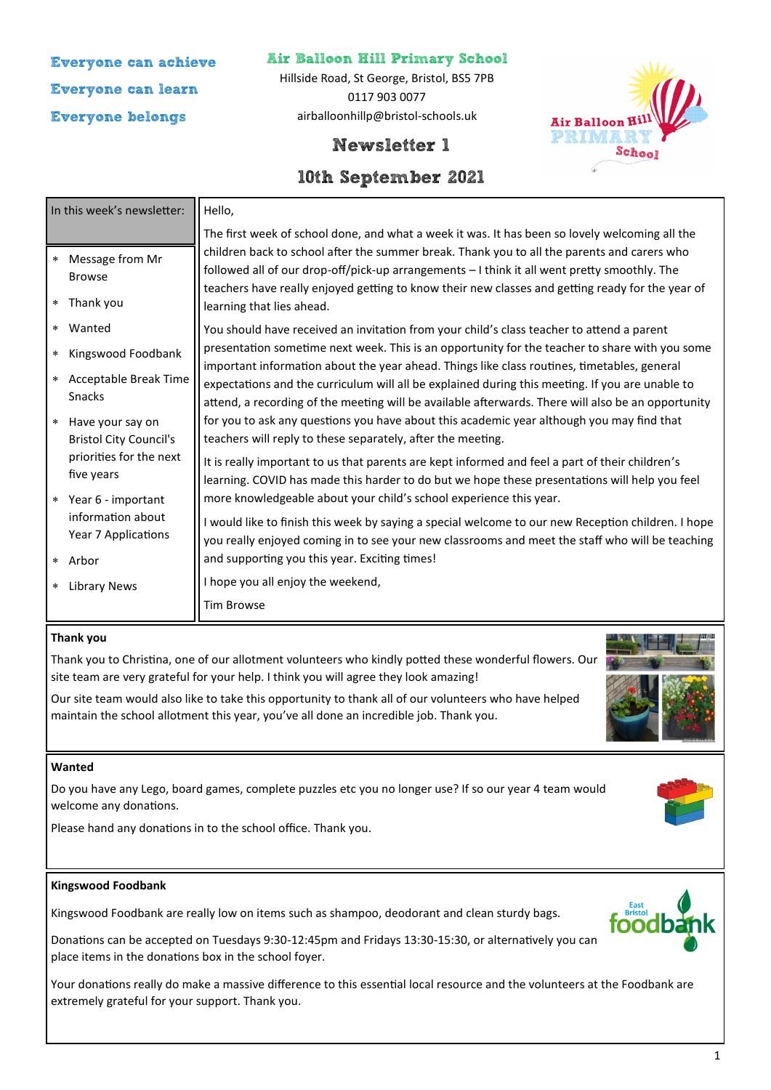# **Everyone can achieve Everyone can learn Everyone belongs**

### **Air Balloon Hill Primary School**

Hillside Road, St George, Bristol, BS5 7PB 0117 903 0077 airballoonhillp@bristol-schools.uk



## **Newsletter 1**

## **10th September 2021**

| In this week's newsletter:                        | Hello,                                                                                                                                                                                                                                                                                               |  |
|---------------------------------------------------|------------------------------------------------------------------------------------------------------------------------------------------------------------------------------------------------------------------------------------------------------------------------------------------------------|--|
| Message from Mr<br>$\star$                        | The first week of school done, and what a week it was. It has been so lovely welcoming all the<br>children back to school after the summer break. Thank you to all the parents and carers who                                                                                                        |  |
| <b>Browse</b><br>Thank you<br>$\star$             | followed all of our drop-off/pick-up arrangements - I think it all went pretty smoothly. The<br>teachers have really enjoyed getting to know their new classes and getting ready for the year of<br>learning that lies ahead.                                                                        |  |
| Wanted<br>$\star$                                 | You should have received an invitation from your child's class teacher to attend a parent                                                                                                                                                                                                            |  |
| Kingswood Foodbank<br>$\star$                     | presentation sometime next week. This is an opportunity for the teacher to share with you some                                                                                                                                                                                                       |  |
| Acceptable Break Time<br>$\star$<br><b>Snacks</b> | important information about the year ahead. Things like class routines, timetables, general<br>expectations and the curriculum will all be explained during this meeting. If you are unable to<br>attend, a recording of the meeting will be available afterwards. There will also be an opportunity |  |
| Have your say on<br>$\star$                       | for you to ask any questions you have about this academic year although you may find that                                                                                                                                                                                                            |  |
| <b>Bristol City Council's</b>                     | teachers will reply to these separately, after the meeting.                                                                                                                                                                                                                                          |  |
| priorities for the next<br>five years             | It is really important to us that parents are kept informed and feel a part of their children's<br>learning. COVID has made this harder to do but we hope these presentations will help you feel                                                                                                     |  |
| Year 6 - important<br>$\star$                     | more knowledgeable about your child's school experience this year.                                                                                                                                                                                                                                   |  |
| information about<br>Year 7 Applications          | I would like to finish this week by saying a special welcome to our new Reception children. I hope<br>you really enjoyed coming in to see your new classrooms and meet the staff who will be teaching                                                                                                |  |
| Arbor<br>$\star$                                  | and supporting you this year. Exciting times!                                                                                                                                                                                                                                                        |  |
| <b>Library News</b><br>$\ast$                     | I hope you all enjoy the weekend,                                                                                                                                                                                                                                                                    |  |
|                                                   | <b>Tim Browse</b>                                                                                                                                                                                                                                                                                    |  |

#### **Thank you**

Thank you to Christina, one of our allotment volunteers who kindly potted these wonderful flowers. Our site team are very grateful for your help. I think you will agree they look amazing!

Our site team would also like to take this opportunity to thank all of our volunteers who have helped maintain the school allotment this year, you've all done an incredible job. Thank you.

#### **Wanted**

Do you have any Lego, board games, complete puzzles etc you no longer use? If so our year 4 team would welcome any donations.

Please hand any donations in to the school office. Thank you.

#### **Kingswood Foodbank**

Kingswood Foodbank are really low on items such as shampoo, deodorant and clean sturdy bags.

Donations can be accepted on Tuesdays 9:30-12:45pm and Fridays 13:30-15:30, or alternatively you can place items in the donations box in the school foyer.

Your donations really do make a massive difference to this essential local resource and the volunteers at the Foodbank are extremely grateful for your support. Thank you.





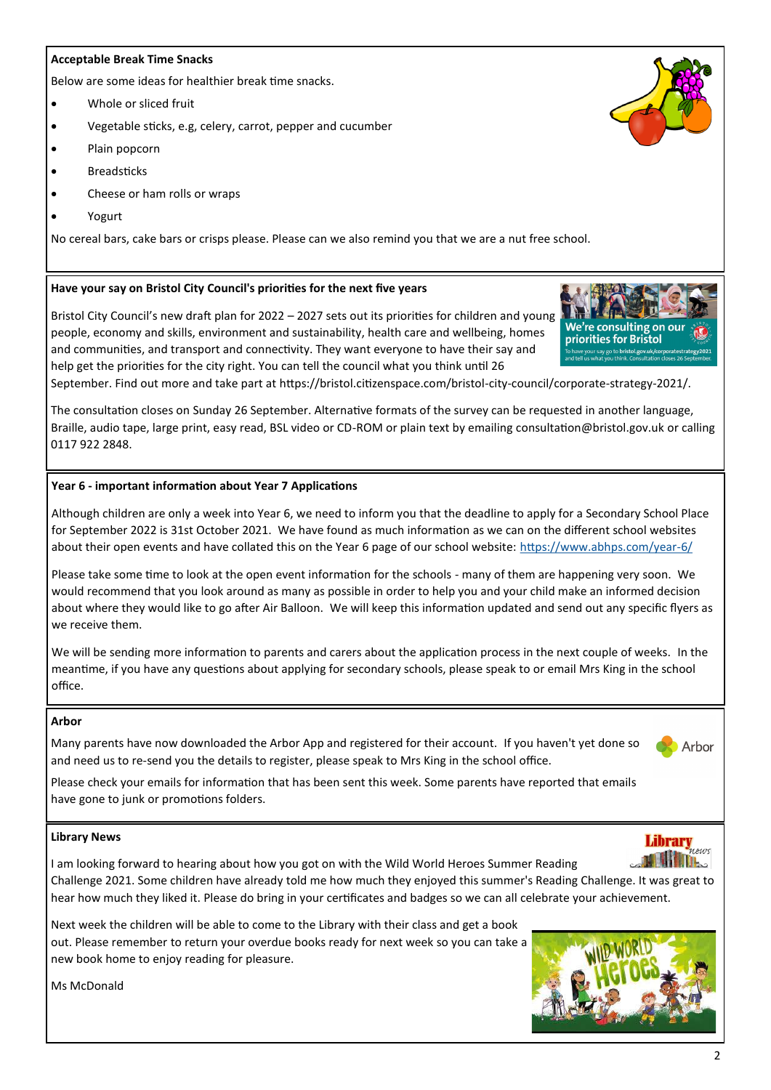#### **Acceptable Break Time Snacks**

Below are some ideas for healthier break time snacks.

- Whole or sliced fruit
- Vegetable sticks, e.g, celery, carrot, pepper and cucumber
- Plain popcorn
- Breadsticks
- Cheese or ham rolls or wraps
- Yogurt

No cereal bars, cake bars or crisps please. Please can we also remind you that we are a nut free school.

#### **Have your say on Bristol City Council's priorities for the next five years**

Bristol City Council's new draft plan for 2022 – 2027 sets out its priorities for children and young people, economy and skills, environment and sustainability, health care and wellbeing, homes and communities, and transport and connectivity. They want everyone to have their say and help get the priorities for the city right. You can tell the council what you think until 26

September. Find out more and take part at https://bristol.citizenspace.com/bristol-city-council/corporate-strategy-2021/.

The consultation closes on Sunday 26 September. Alternative formats of the survey can be requested in another language, Braille, audio tape, large print, easy read, BSL video or CD-ROM or plain text by emailing consultation@bristol.gov.uk or calling 0117 922 2848.

#### **Year 6 - important information about Year 7 Applications**

Although children are only a week into Year 6, we need to inform you that the deadline to apply for a Secondary School Place for September 2022 is 31st October 2021. We have found as much information as we can on the different school websites about their open events and have collated this on the Year 6 page of our school website: [https://www.abhps.com/year](https://www.abhps.com/year-6/)-6/

Please take some time to look at the open event information for the schools - many of them are happening very soon. We would recommend that you look around as many as possible in order to help you and your child make an informed decision about where they would like to go after Air Balloon. We will keep this information updated and send out any specific flyers as we receive them.

We will be sending more information to parents and carers about the application process in the next couple of weeks. In the meantime, if you have any questions about applying for secondary schools, please speak to or email Mrs King in the school office.

#### **Arbor**

Many parents have now downloaded the Arbor App and registered for their account. If you haven't yet done so and need us to re-send you the details to register, please speak to Mrs King in the school office.

Please check your emails for information that has been sent this week. Some parents have reported that emails have gone to junk or promotions folders.

#### **Library News**

I am looking forward to hearing about how you got on with the Wild World Heroes Summer Reading Challenge 2021. Some children have already told me how much they enjoyed this summer's Reading Challenge. It was great to hear how much they liked it. Please do bring in your certificates and badges so we can all celebrate your achievement.

Next week the children will be able to come to the Library with their class and get a book out. Please remember to return your overdue books ready for next week so you can take a new book home to enjoy reading for pleasure.

Ms McDonald









Arbor